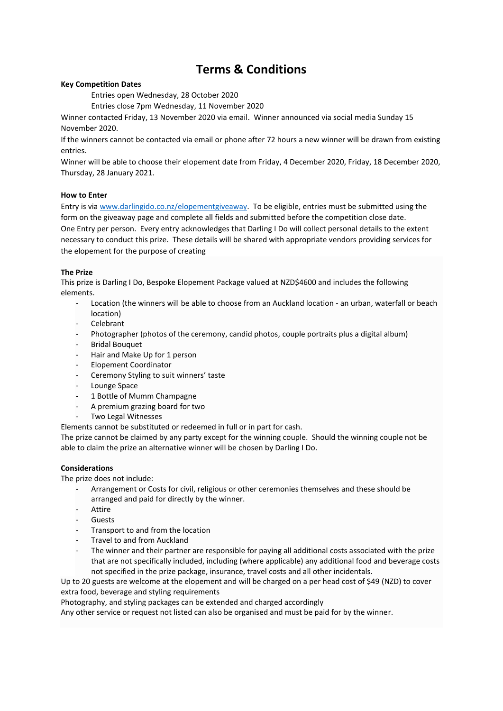# **Terms & Conditions**

# **Key Competition Dates**

Entries open Wednesday, 28 October 2020

Entries close 7pm Wednesday, 11 November 2020

Winner contacted Friday, 13 November 2020 via email. Winner announced via social media Sunday 15 November 2020.

If the winners cannot be contacted via email or phone after 72 hours a new winner will be drawn from existing entries.

Winner will be able to choose their elopement date from Friday, 4 December 2020, Friday, 18 December 2020, Thursday, 28 January 2021.

# **How to Enter**

Entry is via [www.darlingido.co.nz/elopementgiveaway.](http://www.darlingido.co.nz/elopementgiveaway) To be eligible, entries must be submitted using the form on the giveaway page and complete all fields and submitted before the competition close date. One Entry per person. Every entry acknowledges that Darling I Do will collect personal details to the extent necessary to conduct this prize. These details will be shared with appropriate vendors providing services for the elopement for the purpose of creating

# **The Prize**

This prize is Darling I Do, Bespoke Elopement Package valued at NZD\$4600 and includes the following elements.

- Location (the winners will be able to choose from an Auckland location an urban, waterfall or beach location)
- **Celebrant**
- Photographer (photos of the ceremony, candid photos, couple portraits plus a digital album)
- Bridal Bouquet
- Hair and Make Up for 1 person
- Elopement Coordinator
- Ceremony Styling to suit winners' taste
- Lounge Space
- 1 Bottle of Mumm Champagne
- A premium grazing board for two
- Two Legal Witnesses

Elements cannot be substituted or redeemed in full or in part for cash.

The prize cannot be claimed by any party except for the winning couple. Should the winning couple not be able to claim the prize an alternative winner will be chosen by Darling I Do.

#### **Considerations**

The prize does not include:

- Arrangement or Costs for civil, religious or other ceremonies themselves and these should be arranged and paid for directly by the winner.
- Attire
- Guests
- Transport to and from the location
- Travel to and from Auckland
- The winner and their partner are responsible for paying all additional costs associated with the prize that are not specifically included, including (where applicable) any additional food and beverage costs not specified in the prize package, insurance, travel costs and all other incidentals.

Up to 20 guests are welcome at the elopement and will be charged on a per head cost of \$49 (NZD) to cover extra food, beverage and styling requirements

Photography, and styling packages can be extended and charged accordingly

Any other service or request not listed can also be organised and must be paid for by the winner.